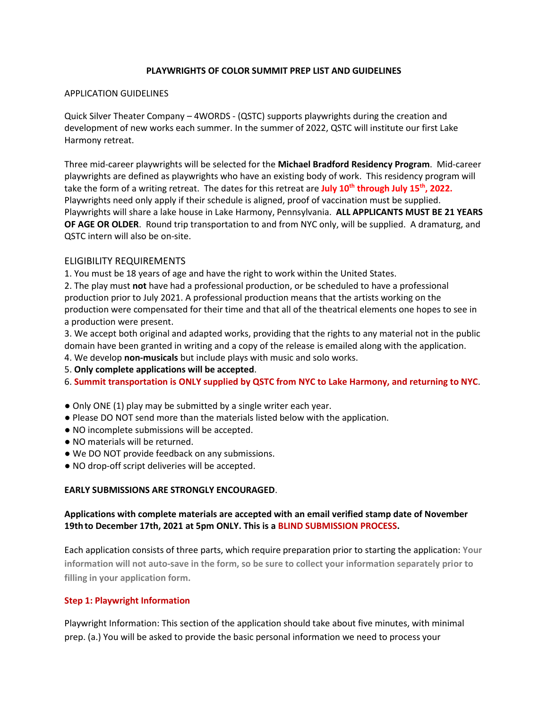### **PLAYWRIGHTS OF COLOR SUMMIT PREP LIST AND GUIDELINES**

#### APPLICATION GUIDELINES

Quick Silver Theater Company – 4WORDS - (QSTC) supports playwrights during the creation and development of new works each summer. In the summer of 2022, QSTC will institute our first Lake Harmony retreat.

Three mid-career playwrights will be selected for the **Michael Bradford Residency Program**. Mid-career playwrights are defined as playwrights who have an existing body of work. This residency program will take the form of a writing retreat. The dates for this retreat are **July 10th through July 15th, 2022.** Playwrights need only apply if their schedule is aligned, proof of vaccination must be supplied. Playwrights will share a lake house in Lake Harmony, Pennsylvania. **ALL APPLICANTS MUST BE 21 YEARS OF AGE OR OLDER**. Round trip transportation to and from NYC only, will be supplied. A dramaturg, and QSTC intern will also be on-site.

## ELIGIBILITY REQUIREMENTS

1. You must be 18 years of age and have the right to work within the United States.

2. The play must **not** have had a professional production, or be scheduled to have a professional production prior to July 2021. A professional production means that the artists working on the production were compensated for their time and that all of the theatrical elements one hopes to see in a production were present.

3. We accept both original and adapted works, providing that the rights to any material not in the public domain have been granted in writing and a copy of the release is emailed along with the application.

- 4. We develop **non-musicals** but include plays with music and solo works.
- 5. **Only complete applications will be accepted**.
- 6. **Summit transportation is ONLY supplied by QSTC from NYC to Lake Harmony, and returning to NYC**.
- Only ONE (1) play may be submitted by a single writer each year.
- Please DO NOT send more than the materials listed below with the application.
- NO incomplete submissions will be accepted.
- NO materials will be returned.
- We DO NOT provide feedback on any submissions.
- NO drop-off script deliveries will be accepted.

#### **EARLY SUBMISSIONS ARE STRONGLY ENCOURAGED**.

## **Applications with complete materials are accepted with an email verified stamp date of November 19th to December 17th, 2021 at 5pm ONLY. This is a BLIND SUBMISSION PROCESS.**

Each application consists of three parts, which require preparation prior to starting the application: **Your information will not auto-save in the form, so be sure to collect your information separately prior to filling in your application form.** 

#### **Step 1: Playwright Information**

Playwright Information: This section of the application should take about five minutes, with minimal prep. (a.) You will be asked to provide the basic personal information we need to process your